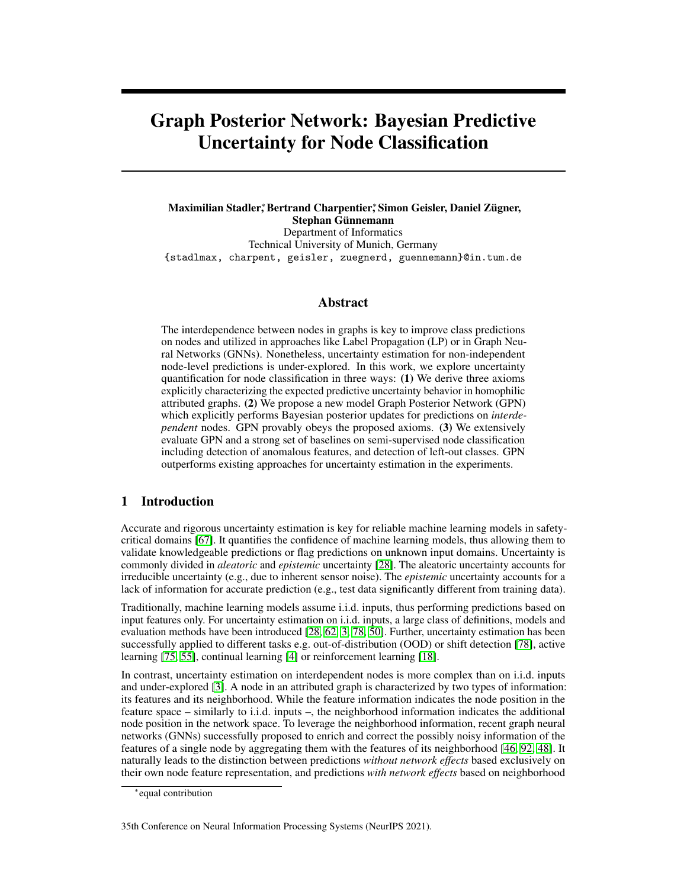# Graph Posterior Network: Bayesian Predictive Uncertainty for Node Classification

Maximilian Stadler,\*Bertrand Charpentier,\*Simon Geisler, Daniel Zügner, Stephan Günnemann Department of Informatics Technical University of Munich, Germany {stadlmax, charpent, geisler, zuegnerd, guennemann}@in.tum.de

# Abstract

The interdependence between nodes in graphs is key to improve class predictions on nodes and utilized in approaches like Label Propagation (LP) or in Graph Neural Networks (GNNs). Nonetheless, uncertainty estimation for non-independent node-level predictions is under-explored. In this work, we explore uncertainty quantification for node classification in three ways: (1) We derive three axioms explicitly characterizing the expected predictive uncertainty behavior in homophilic attributed graphs. (2) We propose a new model Graph Posterior Network (GPN) which explicitly performs Bayesian posterior updates for predictions on *interdependent* nodes. GPN provably obeys the proposed axioms. (3) We extensively evaluate GPN and a strong set of baselines on semi-supervised node classification including detection of anomalous features, and detection of left-out classes. GPN outperforms existing approaches for uncertainty estimation in the experiments.

# 1 Introduction

Accurate and rigorous uncertainty estimation is key for reliable machine learning models in safetycritical domains [\[67\]](#page-13-0). It quantifies the confidence of machine learning models, thus allowing them to validate knowledgeable predictions or flag predictions on unknown input domains. Uncertainty is commonly divided in *aleatoric* and *epistemic* uncertainty [\[28\]](#page-11-0). The aleatoric uncertainty accounts for irreducible uncertainty (e.g., due to inherent sensor noise). The *epistemic* uncertainty accounts for a lack of information for accurate prediction (e.g., test data significantly different from training data).

Traditionally, machine learning models assume i.i.d. inputs, thus performing predictions based on input features only. For uncertainty estimation on i.i.d. inputs, a large class of definitions, models and evaluation methods have been introduced [\[28,](#page-11-0) [62,](#page-13-1) [3,](#page-10-0) [78,](#page-14-0) [50\]](#page-12-0). Further, uncertainty estimation has been successfully applied to different tasks e.g. out-of-distribution (OOD) or shift detection [\[78\]](#page-14-0), active learning [\[75,](#page-13-2) [55\]](#page-12-1), continual learning [\[4\]](#page-10-1) or reinforcement learning [\[18\]](#page-10-2).

In contrast, uncertainty estimation on interdependent nodes is more complex than on i.i.d. inputs and under-explored [\[3\]](#page-10-0). A node in an attributed graph is characterized by two types of information: its features and its neighborhood. While the feature information indicates the node position in the feature space – similarly to i.i.d. inputs –, the neighborhood information indicates the additional node position in the network space. To leverage the neighborhood information, recent graph neural networks (GNNs) successfully proposed to enrich and correct the possibly noisy information of the features of a single node by aggregating them with the features of its neighborhood [\[46,](#page-12-2) [92,](#page-14-1) [48\]](#page-12-3). It naturally leads to the distinction between predictions *without network effects* based exclusively on their own node feature representation, and predictions *with network effects* based on neighborhood

<sup>∗</sup> equal contribution

<sup>35</sup>th Conference on Neural Information Processing Systems (NeurIPS 2021).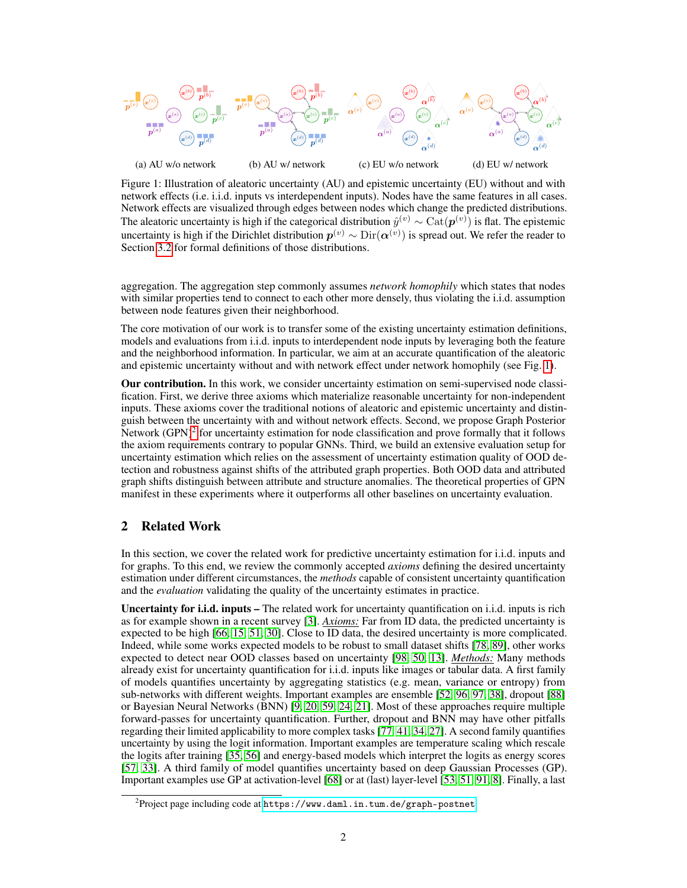<span id="page-1-0"></span>

Figure 1: Illustration of aleatoric uncertainty (AU) and epistemic uncertainty (EU) without and with network effects (i.e. i.i.d. inputs vs interdependent inputs). Nodes have the same features in all cases. Network effects are visualized through edges between nodes which change the predicted distributions. The aleatoric uncertainty is high if the categorical distribution  $\hat{y}^{(v)} \sim \text{Cat}(\mathbf{p}^{(v)})$  is flat. The epistemic uncertainty is high if the Dirichlet distribution  $p^{(v)} \sim \text{Dir}(\alpha^{(v)})$  is spread out. We refer the reader to Section [3.2](#page-3-0) for formal definitions of those distributions.

aggregation. The aggregation step commonly assumes *network homophily* which states that nodes with similar properties tend to connect to each other more densely, thus violating the i.i.d. assumption between node features given their neighborhood.

The core motivation of our work is to transfer some of the existing uncertainty estimation definitions, models and evaluations from i.i.d. inputs to interdependent node inputs by leveraging both the feature and the neighborhood information. In particular, we aim at an accurate quantification of the aleatoric and epistemic uncertainty without and with network effect under network homophily (see Fig. [1\)](#page-1-0).

Our contribution. In this work, we consider uncertainty estimation on semi-supervised node classification. First, we derive three axioms which materialize reasonable uncertainty for non-independent inputs. These axioms cover the traditional notions of aleatoric and epistemic uncertainty and distinguish between the uncertainty with and without network effects. Second, we propose Graph Posterior Network (GPN) $^2$  $^2$  for uncertainty estimation for node classification and prove formally that it follows the axiom requirements contrary to popular GNNs. Third, we build an extensive evaluation setup for uncertainty estimation which relies on the assessment of uncertainty estimation quality of OOD detection and robustness against shifts of the attributed graph properties. Both OOD data and attributed graph shifts distinguish between attribute and structure anomalies. The theoretical properties of GPN manifest in these experiments where it outperforms all other baselines on uncertainty evaluation.

# 2 Related Work

In this section, we cover the related work for predictive uncertainty estimation for i.i.d. inputs and for graphs. To this end, we review the commonly accepted *axioms* defining the desired uncertainty estimation under different circumstances, the *methods* capable of consistent uncertainty quantification and the *evaluation* validating the quality of the uncertainty estimates in practice.

Uncertainty for i.i.d. inputs – The related work for uncertainty quantification on i.i.d. inputs is rich as for example shown in a recent survey [\[3\]](#page-10-0). *Axioms:* Far from ID data, the predicted uncertainty is expected to be high [\[66,](#page-13-3) [15,](#page-10-3) [51,](#page-12-4) [30\]](#page-11-1). Close to ID data, the desired uncertainty is more complicated. Indeed, while some works expected models to be robust to small dataset shifts [\[78,](#page-14-0) [89\]](#page-14-2), other works expected to detect near OOD classes based on uncertainty [\[98,](#page-15-0) [50,](#page-12-0) [13\]](#page-10-4). *Methods:* Many methods already exist for uncertainty quantification for i.i.d. inputs like images or tabular data. A first family of models quantifies uncertainty by aggregating statistics (e.g. mean, variance or entropy) from sub-networks with different weights. Important examples are ensemble [\[52,](#page-12-5) [96,](#page-15-1) [97,](#page-15-2) [38\]](#page-12-6), dropout [\[88\]](#page-14-3) or Bayesian Neural Networks (BNN) [\[9,](#page-10-5) [20,](#page-11-2) [59,](#page-13-4) [24,](#page-11-3) [21\]](#page-11-4). Most of these approaches require multiple forward-passes for uncertainty quantification. Further, dropout and BNN may have other pitfalls regarding their limited applicability to more complex tasks [\[77,](#page-14-4) [41,](#page-12-7) [34,](#page-11-5) [27\]](#page-11-6). A second family quantifies uncertainty by using the logit information. Important examples are temperature scaling which rescale the logits after training [\[35,](#page-11-7) [56\]](#page-12-8) and energy-based models which interpret the logits as energy scores [\[57,](#page-12-9) [33\]](#page-11-8). A third family of model quantifies uncertainty based on deep Gaussian Processes (GP). Important examples use GP at activation-level [\[68\]](#page-13-5) or at (last) layer-level [\[53,](#page-12-10) [51,](#page-12-4) [91,](#page-14-5) [8\]](#page-10-6). Finally, a last

<span id="page-1-1"></span> $^{2}$ Project page including code at <code><https://www.daml.in.tum.de/graph-postnet></code>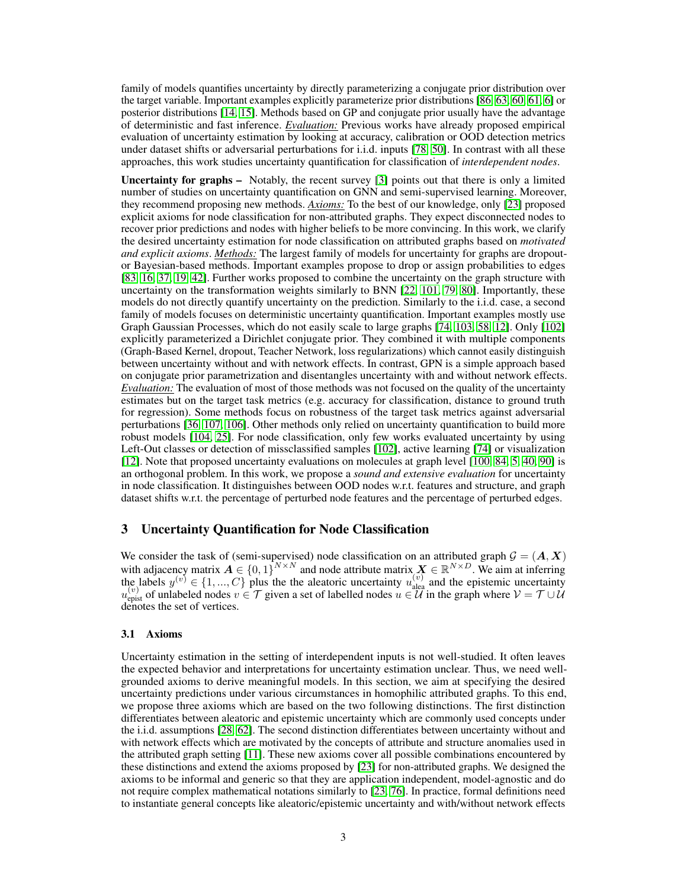family of models quantifies uncertainty by directly parameterizing a conjugate prior distribution over the target variable. Important examples explicitly parameterize prior distributions [\[86,](#page-14-6) [63,](#page-13-6) [60,](#page-13-7) [61,](#page-13-8) [6\]](#page-10-7) or posterior distributions [\[14,](#page-10-8) [15\]](#page-10-3). Methods based on GP and conjugate prior usually have the advantage of deterministic and fast inference. *Evaluation:* Previous works have already proposed empirical evaluation of uncertainty estimation by looking at accuracy, calibration or OOD detection metrics under dataset shifts or adversarial perturbations for i.i.d. inputs [\[78,](#page-14-0) [50\]](#page-12-0). In contrast with all these approaches, this work studies uncertainty quantification for classification of *interdependent nodes*.

Uncertainty for graphs – Notably, the recent survey [\[3\]](#page-10-0) points out that there is only a limited number of studies on uncertainty quantification on GNN and semi-supervised learning. Moreover, they recommend proposing new methods. *Axioms:* To the best of our knowledge, only [\[23\]](#page-11-9) proposed explicit axioms for node classification for non-attributed graphs. They expect disconnected nodes to recover prior predictions and nodes with higher beliefs to be more convincing. In this work, we clarify the desired uncertainty estimation for node classification on attributed graphs based on *motivated and explicit axioms*. *Methods:* The largest family of models for uncertainty for graphs are dropoutor Bayesian-based methods. Important examples propose to drop or assign probabilities to edges [\[83,](#page-14-7) [16,](#page-10-9) [37,](#page-11-10) [19,](#page-11-11) [42\]](#page-12-11). Further works proposed to combine the uncertainty on the graph structure with uncertainty on the transformation weights similarly to BNN [\[22,](#page-11-12) [101,](#page-15-3) [79,](#page-14-8) [80\]](#page-14-9). Importantly, these models do not directly quantify uncertainty on the prediction. Similarly to the i.i.d. case, a second family of models focuses on deterministic uncertainty quantification. Important examples mostly use Graph Gaussian Processes, which do not easily scale to large graphs [\[74,](#page-13-9) [103,](#page-15-4) [58,](#page-13-10) [12\]](#page-10-10). Only [\[102\]](#page-15-5) explicitly parameterized a Dirichlet conjugate prior. They combined it with multiple components (Graph-Based Kernel, dropout, Teacher Network, loss regularizations) which cannot easily distinguish between uncertainty without and with network effects. In contrast, GPN is a simple approach based on conjugate prior parametrization and disentangles uncertainty with and without network effects. *Evaluation:* The evaluation of most of those methods was not focused on the quality of the uncertainty estimates but on the target task metrics (e.g. accuracy for classification, distance to ground truth for regression). Some methods focus on robustness of the target task metrics against adversarial perturbations [\[36,](#page-11-13) [107,](#page-15-6) [106\]](#page-15-7). Other methods only relied on uncertainty quantification to build more robust models [\[104,](#page-15-8) [25\]](#page-11-14). For node classification, only few works evaluated uncertainty by using Left-Out classes or detection of missclassified samples [\[102\]](#page-15-5), active learning [\[74\]](#page-13-9) or visualization [\[12\]](#page-10-10). Note that proposed uncertainty evaluations on molecules at graph level [\[100,](#page-15-9) [84,](#page-14-10) [5,](#page-10-11) [40,](#page-12-12) [90\]](#page-14-11) is an orthogonal problem. In this work, we propose a *sound and extensive evaluation* for uncertainty in node classification. It distinguishes between OOD nodes w.r.t. features and structure, and graph dataset shifts w.r.t. the percentage of perturbed node features and the percentage of perturbed edges.

## 3 Uncertainty Quantification for Node Classification

We consider the task of (semi-supervised) node classification on an attributed graph  $G = (A, X)$ with adjacency matrix  $A \in \{0,1\}^{N \times N}$  and node attribute matrix  $X \in \mathbb{R}^{N \times D}$ . We aim at inferring the labels  $y^{(v)} \in \{1, ..., C\}$  plus the the aleatoric uncertainty  $u_{\text{alea}}^{(v)}$  and the epistemic uncertainty  $u_{\text{epist}}^{(v)}$  of unlabeled nodes  $v \in \mathcal{T}$  given a set of labelled nodes  $u \in \mathcal{U}$  in the graph where  $\mathcal{V} = \mathcal{T} \cup \mathcal{U}$ denotes the set of vertices.

#### 3.1 Axioms

Uncertainty estimation in the setting of interdependent inputs is not well-studied. It often leaves the expected behavior and interpretations for uncertainty estimation unclear. Thus, we need wellgrounded axioms to derive meaningful models. In this section, we aim at specifying the desired uncertainty predictions under various circumstances in homophilic attributed graphs. To this end, we propose three axioms which are based on the two following distinctions. The first distinction differentiates between aleatoric and epistemic uncertainty which are commonly used concepts under the i.i.d. assumptions [\[28,](#page-11-0) [62\]](#page-13-1). The second distinction differentiates between uncertainty without and with network effects which are motivated by the concepts of attribute and structure anomalies used in the attributed graph setting [\[11\]](#page-10-12). These new axioms cover all possible combinations encountered by these distinctions and extend the axioms proposed by [\[23\]](#page-11-9) for non-attributed graphs. We designed the axioms to be informal and generic so that they are application independent, model-agnostic and do not require complex mathematical notations similarly to [\[23,](#page-11-9) [76\]](#page-13-11). In practice, formal definitions need to instantiate general concepts like aleatoric/epistemic uncertainty and with/without network effects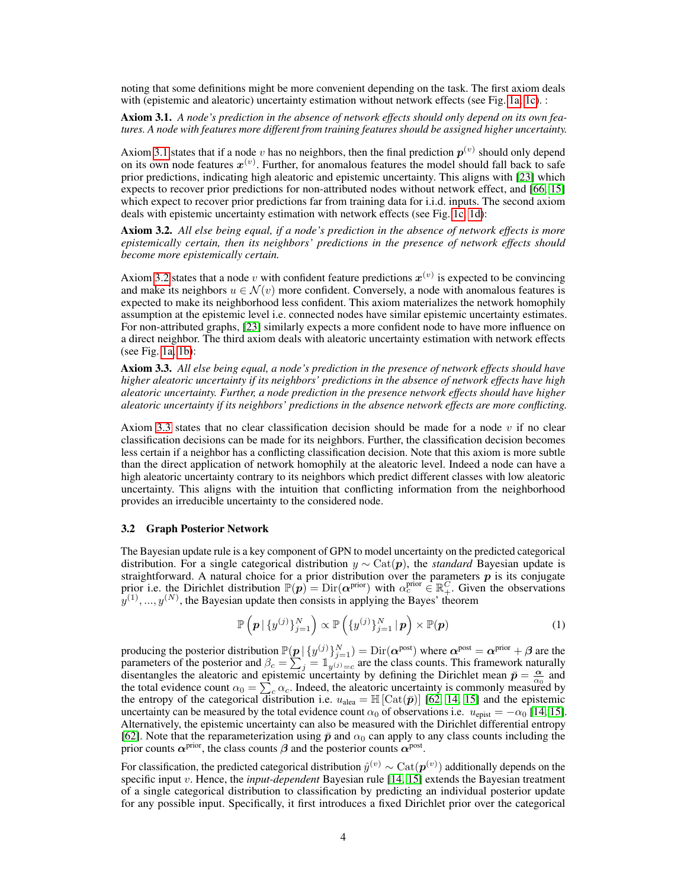noting that some definitions might be more convenient depending on the task. The first axiom deals with (epistemic and aleatoric) uncertainty estimation without network effects (see Fig. [1a, 1c\)](#page-1-0). :

<span id="page-3-1"></span>Axiom 3.1. *A node's prediction in the absence of network effects should only depend on its own features. A node with features more different from training features should be assigned higher uncertainty.*

Axiom [3.1](#page-3-1) states that if a node v has no neighbors, then the final prediction  $p^{(v)}$  should only depend on its own node features  $x^{(v)}$ . Further, for anomalous features the model should fall back to safe prior predictions, indicating high aleatoric and epistemic uncertainty. This aligns with [\[23\]](#page-11-9) which expects to recover prior predictions for non-attributed nodes without network effect, and [\[66,](#page-13-3) [15\]](#page-10-3) which expect to recover prior predictions far from training data for i.i.d. inputs. The second axiom deals with epistemic uncertainty estimation with network effects (see Fig. [1c, 1d\)](#page-1-0):

<span id="page-3-2"></span>Axiom 3.2. *All else being equal, if a node's prediction in the absence of network effects is more epistemically certain, then its neighbors' predictions in the presence of network effects should become more epistemically certain.*

Axiom [3.2](#page-3-2) states that a node v with confident feature predictions  $x^{(v)}$  is expected to be convincing and make its neighbors  $u \in \mathcal{N}(v)$  more confident. Conversely, a node with anomalous features is expected to make its neighborhood less confident. This axiom materializes the network homophily assumption at the epistemic level i.e. connected nodes have similar epistemic uncertainty estimates. For non-attributed graphs, [\[23\]](#page-11-9) similarly expects a more confident node to have more influence on a direct neighbor. The third axiom deals with aleatoric uncertainty estimation with network effects (see Fig. [1a, 1b\)](#page-1-0):

<span id="page-3-3"></span>Axiom 3.3. *All else being equal, a node's prediction in the presence of network effects should have higher aleatoric uncertainty if its neighbors' predictions in the absence of network effects have high aleatoric uncertainty. Further, a node prediction in the presence network effects should have higher aleatoric uncertainty if its neighbors' predictions in the absence network effects are more conflicting.*

Axiom [3.3](#page-3-3) states that no clear classification decision should be made for a node  $v$  if no clear classification decisions can be made for its neighbors. Further, the classification decision becomes less certain if a neighbor has a conflicting classification decision. Note that this axiom is more subtle than the direct application of network homophily at the aleatoric level. Indeed a node can have a high aleatoric uncertainty contrary to its neighbors which predict different classes with low aleatoric uncertainty. This aligns with the intuition that conflicting information from the neighborhood provides an irreducible uncertainty to the considered node.

#### <span id="page-3-0"></span>3.2 Graph Posterior Network

The Bayesian update rule is a key component of GPN to model uncertainty on the predicted categorical distribution. For a single categorical distribution y ∼ Cat(p), the *standard* Bayesian update is straightforward. A natural choice for a prior distribution over the parameters  $p$  is its conjugate prior i.e. the Dirichlet distribution  $\mathbb{P}(p) = \text{Dir}(\alpha^{\text{prior}})$  with  $\alpha_c^{\text{prior}} \in \mathbb{R}^C_+$ . Given the observations  $y^{(1)},...,y^{(N)}$ , the Bayesian update then consists in applying the Bayes' theorem

$$
\mathbb{P}\left(\boldsymbol{p} \,|\, \{y^{(j)}\}_{j=1}^N\right) \propto \mathbb{P}\left(\{y^{(j)}\}_{j=1}^N \,|\, \boldsymbol{p}\right) \times \mathbb{P}(\boldsymbol{p})\tag{1}
$$

producing the posterior distribution  $\mathbb{P}(\underline{p} | \{y^{(j)}\}_{j=1}^N) = \text{Dir}(\alpha^{\text{post}})$  where  $\alpha^{\text{post}} = \alpha^{\text{prior}} + \beta$  are the parameters of the posterior and  $\beta_c = \sum_{j=1}^{n} \frac{1}{y^{(j)}=c}$  are the class counts. This framework naturally disentangles the aleatoric and epistemic uncertainty by defining the Dirichlet mean  $\bar{p} = \frac{\alpha}{\alpha_0}$  and the total evidence count  $\alpha_0 = \sum_c \alpha_c$ . Indeed, the aleatoric uncertainty is commonly measured by the entropy of the categorical distribution i.e.  $u_{\text{alea}} = \mathbb{H} [\text{Cat}(\bar{p})]$  [\[62,](#page-13-1) [14,](#page-10-8) [15\]](#page-10-3) and the epistemic uncertainty can be measured by the total evidence count  $\alpha_0$  of observations i.e.  $u_{\text{epist}} = -\alpha_0$  [\[14,](#page-10-8) [15\]](#page-10-3). Alternatively, the epistemic uncertainty can also be measured with the Dirichlet differential entropy [\[62\]](#page-13-1). Note that the reparameterization using  $\bar{p}$  and  $\alpha_0$  can apply to any class counts including the prior counts  $\alpha^{\text{prior}}$ , the class counts  $\beta$  and the posterior counts  $\alpha^{\text{post}}$ .

For classification, the predicted categorical distribution  $\hat{y}^{(v)} \sim \text{Cat}(p^{(v)})$  additionally depends on the specific input v. Hence, the *input-dependent* Bayesian rule [\[14,](#page-10-8) [15\]](#page-10-3) extends the Bayesian treatment of a single categorical distribution to classification by predicting an individual posterior update for any possible input. Specifically, it first introduces a fixed Dirichlet prior over the categorical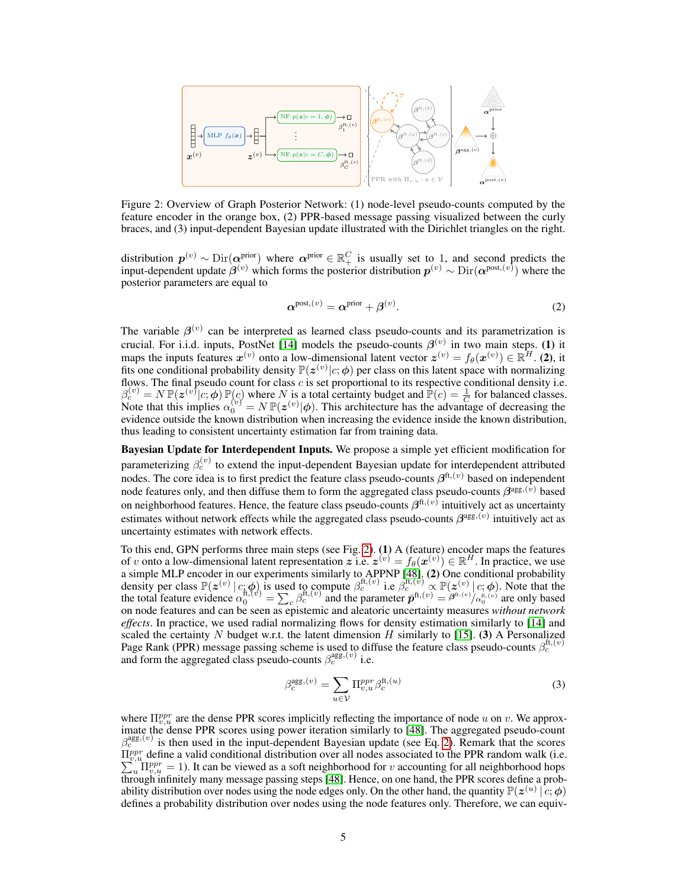<span id="page-4-0"></span>

Figure 2: Overview of Graph Posterior Network: (1) node-level pseudo-counts computed by the feature encoder in the orange box, (2) PPR-based message passing visualized between the curly braces, and (3) input-dependent Bayesian update illustrated with the Dirichlet triangles on the right.

distribution  $p^{(v)} \sim \text{Dir}(\alpha^{\text{prior}})$  where  $\alpha^{\text{prior}} \in \mathbb{R}_+^C$  is usually set to 1, and second predicts the input-dependent update  $\beta^{(v)}$  which forms the posterior distribution  $p^{(v)} \sim Dir(\alpha^{post,(v)})$  where the posterior parameters are equal to

<span id="page-4-1"></span>
$$
\boldsymbol{\alpha}^{\text{post},(v)} = \boldsymbol{\alpha}^{\text{prior}} + \boldsymbol{\beta}^{(v)}.
$$

The variable  $\beta^{(v)}$  can be interpreted as learned class pseudo-counts and its parametrization is crucial. For i.i.d. inputs, PostNet [\[14\]](#page-10-8) models the pseudo-counts  $\beta^{(v)}$  in two main steps. (1) it maps the inputs features  $x^{(v)}$  onto a low-dimensional latent vector  $z^{(v)} = f_{\theta}(x^{(v)}) \in \mathbb{R}^H$ . (2), it fits one conditional probability density  $\mathbb{P}(z^{(v)}|c;\phi)$  per class on this latent space with normalizing flows. The final pseudo count for class  $c$  is set proportional to its respective conditional density i.e.  $\beta_c^{(v)} = N \mathbb{P}(\mathbf{z}^{(v)}|c; \boldsymbol{\phi}) \mathbb{P}(c)$  where N is a total certainty budget and  $\mathbb{P}(c) = \frac{1}{C}$  for balanced classes. Note that this implies  $\alpha_0^{(v)} = N \mathbb{P}(z^{(v)} | \phi)$ . This architecture has the advantage of decreasing the evidence outside the known distribution when increasing the evidence inside the known distribution, thus leading to consistent uncertainty estimation far from training data.

Bayesian Update for Interdependent Inputs. We propose a simple yet efficient modification for parameterizing  $\beta_c^{(v)}$  to extend the input-dependent Bayesian update for interdependent attributed nodes. The core idea is to first predict the feature class pseudo-counts  $\beta^{ft,(v)}$  based on independent node features only, and then diffuse them to form the aggregated class pseudo-counts  $\beta^{\text{agg},(v)}$  based on neighborhood features. Hence, the feature class pseudo-counts  $\beta^{ft,(v)}$  intuitively act as uncertainty estimates without network effects while the aggregated class pseudo-counts  $\beta^{\text{agg},(v)}$  intuitively act as uncertainty estimates with network effects.

To this end, GPN performs three main steps (see Fig. [2\)](#page-4-0). (1) A (feature) encoder maps the features of v onto a low-dimensional latent representation z i.e.  $z^{(v)} = f_{\theta}(x^{(v)}) \in \mathbb{R}^H$ . In practice, we use a simple MLP encoder in our experiments similarly to APPNP [\[48\]](#page-12-3). (2) One conditional probability density per class  $\mathbb{P}(z^{(v)} | c; \phi)$  is used to compute  $\beta_c^{\text{ft},(v)}$  i.e  $\beta_c^{\text{ft},(v)} \propto \mathbb{P}(z^{(v)} | c; \phi)$ . Note that the total feature evidence  $\alpha_0^{\text{ft},(v)} = \sum_c \beta_c^{\text{ft},(v)}$  and the parameter  $\bar{\mathbf{p}}^{\text{ft},(v)} = \beta^$ on node features and can be seen as epistemic and aleatoric uncertainty measures *without network effects*. In practice, we used radial normalizing flows for density estimation similarly to [\[14\]](#page-10-8) and scaled the certainty  $N$  budget w.r.t. the latent dimension  $H$  similarly to [\[15\]](#page-10-3). (3) A Personalized Page Rank (PPR) message passing scheme is used to diffuse the feature class pseudo-counts  $\beta_c^{\text{ft},(v)}$  and form the aggregated class pseudo-counts  $\beta_c^{\text{agg},(v)}$  i.e.

<span id="page-4-2"></span>
$$
\beta_c^{\text{agg},(v)} = \sum_{u \in \mathcal{V}} \Pi_{v,u}^{ppr} \beta_c^{\text{ft},(u)}
$$
(3)

where  $\Pi_{v,u}^{ppr}$  are the dense PPR scores implicitly reflecting the importance of node u on v. We approx-imate the dense PPR scores using power iteration similarly to [\[48\]](#page-12-3). The aggregated pseudo-count  $\beta_c^{\text{agg},(v)}$  is then used in the input-dependent Bayesian update (see Eq. [2\)](#page-4-1). Remark that the scores  $\Pi_{n,u}^{ppr}$  define a valid conditional distribution over all nodes associated to the PPR random walk (i.e.  $\Pi_{v,u}^{ppr}$  define a valid conditional distribution over all nodes associated to the PPR random walk (i.e.  $\sum_{u} \Pi_{v,u}^{ppr} = 1$ ). It can be viewed as a soft neighborhood for *v* accounting for all neighborhood hops through infinitely many message passing steps [\[48\]](#page-12-3). Hence, on one hand, the PPR scores define a probability distribution over nodes using the node edges only. On the other hand, the quantity  $\mathbb{P}(z^{(u)} | c; \phi)$ defines a probability distribution over nodes using the node features only. Therefore, we can equiv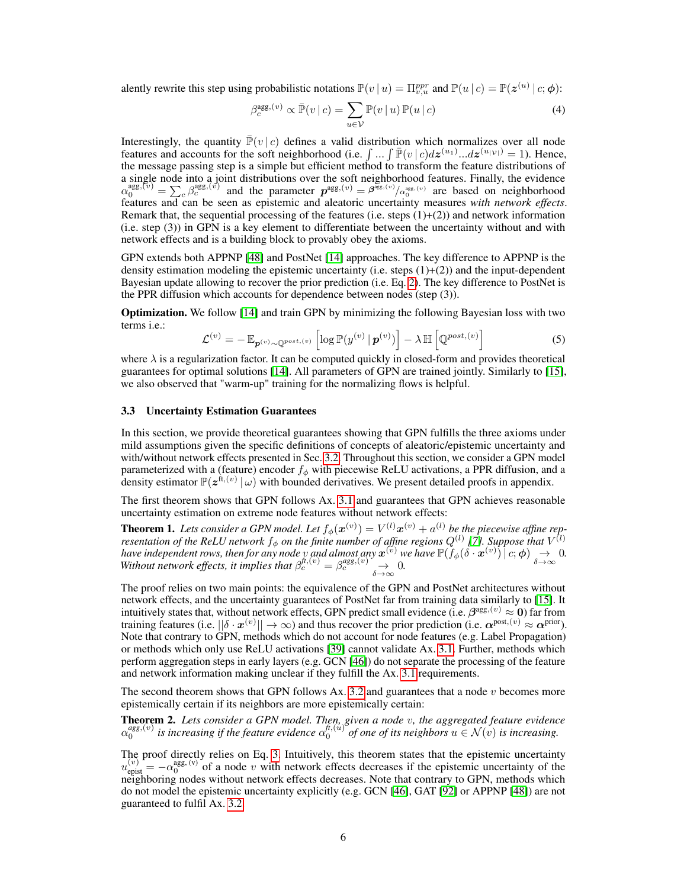alently rewrite this step using probabilistic notations  $\mathbb{P}(v | u) = \prod_{v,u}^{ppr}$  and  $\mathbb{P}(u | c) = \mathbb{P}(z^{(u)} | c; \phi)$ :

$$
\beta_c^{\text{agg},(v)} \propto \bar{\mathbb{P}}(v \mid c) = \sum_{u \in \mathcal{V}} \mathbb{P}(v \mid u) \mathbb{P}(u \mid c)
$$
\n(4)

Interestingly, the quantity  $\bar{F}(v | c)$  defines a valid distribution which normalizes over all node features and accounts for the soft neighborhood (i.e.  $\int ... \int \overline{P}(v | c) dz^{(u_1)} ... dz^{(u_{|\mathcal{V}|})} = 1$ ). Hence, the message passing step is a simple but efficient method to transform the feature distributions of a single node into a joint distributions over the soft neighborhood features. Finally, the evidence  $\alpha_0^{\text{agg},(\nu)} = \sum_c \beta_c^{\text{agg},(\nu)}$  and the parameter  $p^{\text{agg},(\nu)} = \beta^{\text{agg},(\nu)} / \alpha_0^{\text{agg},(\nu)}$  are based on neighborhood features and can be seen as epistemic and aleatoric uncertainty measures *with network effects*. Remark that, the sequential processing of the features (i.e. steps  $(1)+(2)$ ) and network information (i.e. step (3)) in GPN is a key element to differentiate between the uncertainty without and with network effects and is a building block to provably obey the axioms.

GPN extends both APPNP [\[48\]](#page-12-3) and PostNet [\[14\]](#page-10-8) approaches. The key difference to APPNP is the density estimation modeling the epistemic uncertainty (i.e. steps (1)+(2)) and the input-dependent Bayesian update allowing to recover the prior prediction (i.e. Eq. [2\)](#page-4-1). The key difference to PostNet is the PPR diffusion which accounts for dependence between nodes (step (3)).

Optimization. We follow [\[14\]](#page-10-8) and train GPN by minimizing the following Bayesian loss with two terms i.e.:

$$
\mathcal{L}^{(v)} = -\mathbb{E}_{\boldsymbol{p}^{(v)} \sim \mathbb{Q}^{post,(v)}} \left[ \log \mathbb{P}(y^{(v)} \mid \boldsymbol{p}^{(v)}) \right] - \lambda \, \mathbb{H} \left[ \mathbb{Q}^{post,(v)} \right] \tag{5}
$$

where  $\lambda$  is a regularization factor. It can be computed quickly in closed-form and provides theoretical guarantees for optimal solutions [\[14\]](#page-10-8). All parameters of GPN are trained jointly. Similarly to [\[15\]](#page-10-3), we also observed that "warm-up" training for the normalizing flows is helpful.

#### 3.3 Uncertainty Estimation Guarantees

In this section, we provide theoretical guarantees showing that GPN fulfills the three axioms under mild assumptions given the specific definitions of concepts of aleatoric/epistemic uncertainty and with/without network effects presented in Sec. [3.2.](#page-3-0) Throughout this section, we consider a GPN model parameterized with a (feature) encoder  $f_{\phi}$  with piecewise ReLU activations, a PPR diffusion, and a density estimator  $\mathbb{P}(z^{\hat{\pi},(v)} | \omega)$  with bounded derivatives. We present detailed proofs in appendix.

The first theorem shows that GPN follows Ax. [3.1](#page-3-1) and guarantees that GPN achieves reasonable uncertainty estimation on extreme node features without network effects:

**Theorem 1.** Lets consider a GPN model. Let  $f_{\phi}(\mathbf{x}^{(v)}) = V^{(l)}\mathbf{x}^{(v)} + a^{(l)}$  be the piecewise affine rep*resentation of the ReLU network*  $f_{\phi}$  *on the finite number of affine regions*  $Q^{(l)}$  *[\[7\]](#page-10-13). Suppose that*  $V^{(l)}$ *have independent rows, then for any node v and almost any*  $\mathbf{x}^{(v)}$  *we have*  $\mathbb{P}(f_{\phi}(\delta \cdot \mathbf{x}^{(v)}) \mid c; \phi) \rightarrow 0$ .<br>Without network effects, it implies that  $\beta^{(t,(v)}_n = \beta^{ags,(v)}_n \rightarrow 0$ . *Without network effects, it implies that*  $\beta_c^{f_t,(v)} = \beta_c^{agg,(v)} \rightarrow 0$ .

The proof relies on two main points: the equivalence of the GPN and PostNet architectures without network effects, and the uncertainty guarantees of PostNet far from training data similarly to [\[15\]](#page-10-3). It intuitively states that, without network effects, GPN predict small evidence (i.e.  $\beta^{\text{agg},(v)} \approx 0$ ) far from training features (i.e.  $||\delta \cdot x^{(v)}|| \to \infty$ ) and thus recover the prior prediction (i.e.  $\alpha^{\text{post},(v)} \approx \alpha^{\text{prior}}$ ). Note that contrary to GPN, methods which do not account for node features (e.g. Label Propagation) or methods which only use ReLU activations [\[39\]](#page-12-13) cannot validate Ax. [3.1.](#page-3-1) Further, methods which perform aggregation steps in early layers (e.g. GCN [\[46\]](#page-12-2)) do not separate the processing of the feature and network information making unclear if they fulfill the Ax. [3.1](#page-3-1) requirements.

The second theorem shows that GPN follows Ax. [3.2](#page-3-2) and guarantees that a node  $v$  becomes more epistemically certain if its neighbors are more epistemically certain:

Theorem 2. *Lets consider a GPN model. Then, given a node* v*, the aggregated feature evidence*  $\alpha_0^{agg,(v)}$  is increasing if the feature evidence  $\alpha_0^{f,(u)}$  of one of its neighbors  $u \in \mathcal{N}(v)$  is increasing.

The proof directly relies on Eq. [3.](#page-4-2) Intuitively, this theorem states that the epistemic uncertainty  $u_{\text{epist}}^{(v)} = -\alpha_0^{\text{agg}, (v)}$  of a node v with network effects decreases if the epistemic uncertainty of the neighboring nodes without network effects decreases. Note that contrary to GPN, methods which do not model the epistemic uncertainty explicitly (e.g. GCN [\[46\]](#page-12-2), GAT [\[92\]](#page-14-1) or APPNP [\[48\]](#page-12-3)) are not guaranteed to fulfil Ax. [3.2.](#page-3-2)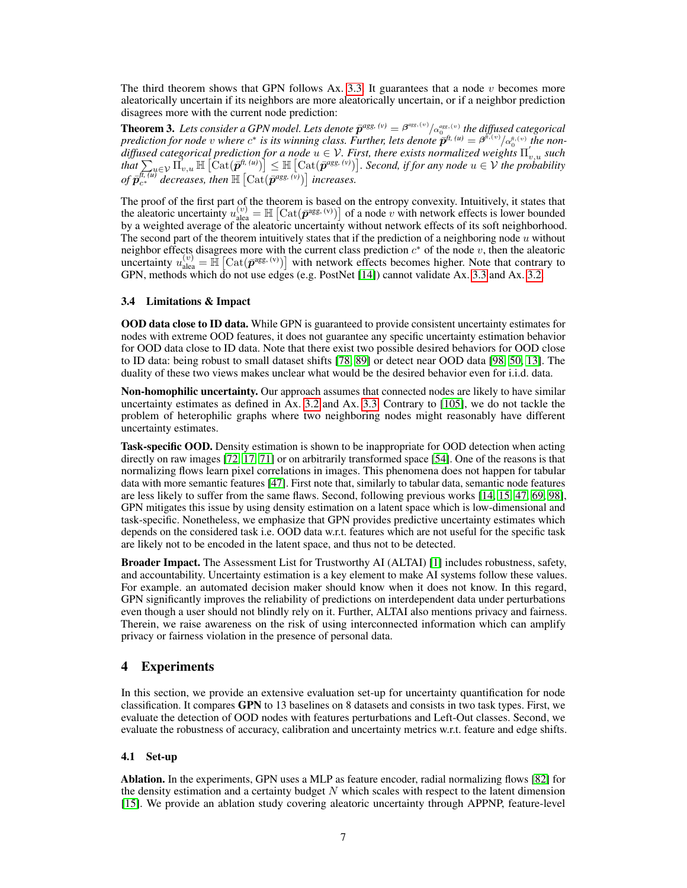The third theorem shows that GPN follows Ax. [3.3.](#page-3-3) It guarantees that a node  $v$  becomes more aleatorically uncertain if its neighbors are more aleatorically uncertain, or if a neighbor prediction disagrees more with the current node prediction:

**Theorem 3.** Lets consider a GPN model. Lets denote  $\bar{p}^{agg, (v)} = \beta^{ags, (v)} / \alpha_0^{ags, (v)}$  the diffused categorical *prediction for node* v where  $c^*$  is its winning class. Further, lets denote  $\bar{p}^{ft, (u)} = \beta^{\hat{r}, (v)} / \alpha_0^{t, (v)}$  the nondiffused categorical prediction for a node  $u \in V$ . First, there exists normalized weights  $\Pi'_{v,u}$  such  $\text{that } \sum_{u \in V} \prod_{v,u}^{v} \mathbb{H} \left[ \text{Cat}(\overline{p}^{h,(u)}) \right] \leq \mathbb{H} \left[ \text{Cat}(\overline{p}^{ags,(v)}) \right]$ . Second, if for any node  $u \in V$  the probability of  $\bar{p}_{c^*}^{\overline{t_r(u)}}$  decreases, then  $\mathbb{H}\left[\mathrm{Cat}(\bar{p}^{ags, (v)})\right]$  increases.

The proof of the first part of the theorem is based on the entropy convexity. Intuitively, it states that the aleatoric uncertainty  $u_{\text{alea}}^{(v)} = \mathbb{H} \left[ \text{Cat}(\bar{\mathbf{p}}^{\text{agg, (v)}}) \right]$  of a node v with network effects is lower bounded by a weighted average of the aleatoric uncertainty without network effects of its soft neighborhood. The second part of the theorem intuitively states that if the prediction of a neighboring node  $u$  without neighbor effects disagrees more with the current class prediction  $c^*$  of the node v, then the aleatoric uncertainty  $u_{\text{alea}}^{(v)} = \mathbb{H} \left[ \text{Cat}(\bar{p}^{\text{agg}, (v)}) \right]$  with network effects becomes higher. Note that contrary to GPN, methods which do not use edges (e.g. PostNet [\[14\]](#page-10-8)) cannot validate Ax. [3.3](#page-3-3) and Ax. [3.2.](#page-3-2)

#### 3.4 Limitations & Impact

OOD data close to ID data. While GPN is guaranteed to provide consistent uncertainty estimates for nodes with extreme OOD features, it does not guarantee any specific uncertainty estimation behavior for OOD data close to ID data. Note that there exist two possible desired behaviors for OOD close to ID data: being robust to small dataset shifts [\[78,](#page-14-0) [89\]](#page-14-2) or detect near OOD data [\[98,](#page-15-0) [50,](#page-12-0) [13\]](#page-10-4). The duality of these two views makes unclear what would be the desired behavior even for i.i.d. data.

Non-homophilic uncertainty. Our approach assumes that connected nodes are likely to have similar uncertainty estimates as defined in Ax. [3.2](#page-3-2) and Ax. [3.3.](#page-3-3) Contrary to [\[105\]](#page-15-10), we do not tackle the problem of heterophilic graphs where two neighboring nodes might reasonably have different uncertainty estimates.

Task-specific OOD. Density estimation is shown to be inappropriate for OOD detection when acting directly on raw images [\[72,](#page-13-12) [17,](#page-10-14) [71\]](#page-13-13) or on arbitrarily transformed space [\[54\]](#page-12-14). One of the reasons is that normalizing flows learn pixel correlations in images. This phenomena does not happen for tabular data with more semantic features [\[47\]](#page-12-15). First note that, similarly to tabular data, semantic node features are less likely to suffer from the same flaws. Second, following previous works [\[14,](#page-10-8) [15,](#page-10-3) [47,](#page-12-15) [69,](#page-13-14) [98\]](#page-15-0), GPN mitigates this issue by using density estimation on a latent space which is low-dimensional and task-specific. Nonetheless, we emphasize that GPN provides predictive uncertainty estimates which depends on the considered task i.e. OOD data w.r.t. features which are not useful for the specific task are likely not to be encoded in the latent space, and thus not to be detected.

Broader Impact. The Assessment List for Trustworthy AI (ALTAI) [\[1\]](#page-10-15) includes robustness, safety, and accountability. Uncertainty estimation is a key element to make AI systems follow these values. For example. an automated decision maker should know when it does not know. In this regard, GPN significantly improves the reliability of predictions on interdependent data under perturbations even though a user should not blindly rely on it. Further, ALTAI also mentions privacy and fairness. Therein, we raise awareness on the risk of using interconnected information which can amplify privacy or fairness violation in the presence of personal data.

## 4 Experiments

In this section, we provide an extensive evaluation set-up for uncertainty quantification for node classification. It compares GPN to 13 baselines on 8 datasets and consists in two task types. First, we evaluate the detection of OOD nodes with features perturbations and Left-Out classes. Second, we evaluate the robustness of accuracy, calibration and uncertainty metrics w.r.t. feature and edge shifts.

#### 4.1 Set-up

Ablation. In the experiments, GPN uses a MLP as feature encoder, radial normalizing flows [\[82\]](#page-14-12) for the density estimation and a certainty budget  $N$  which scales with respect to the latent dimension [\[15\]](#page-10-3). We provide an ablation study covering aleatoric uncertainty through APPNP, feature-level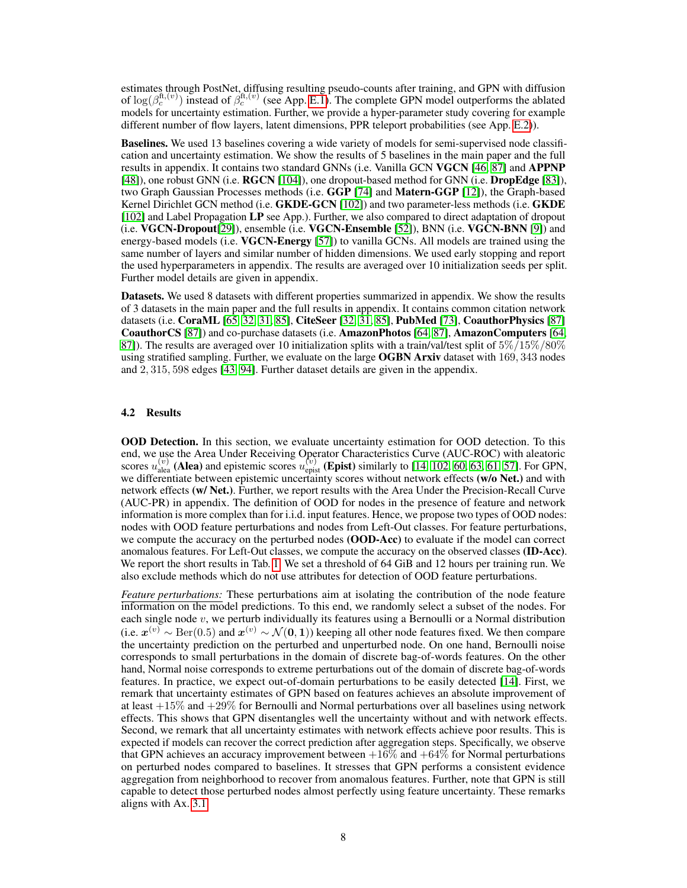estimates through PostNet, diffusing resulting pseudo-counts after training, and GPN with diffusion of  $log(\beta_c^{ft,(v)})$  instead of  $\beta_c^{ft,(v)}$  (see App. E.1). The complete GPN model outperforms the ablated models for uncertainty estimation. Further, we provide a hyper-parameter study covering for example different number of flow layers, latent dimensions, PPR teleport probabilities (see App. E.2)).

Baselines. We used 13 baselines covering a wide variety of models for semi-supervised node classification and uncertainty estimation. We show the results of 5 baselines in the main paper and the full results in appendix. It contains two standard GNNs (i.e. Vanilla GCN VGCN [\[46,](#page-12-2) [87\]](#page-14-13) and APPNP [\[48\]](#page-12-3)), one robust GNN (i.e. **RGCN** [\[104\]](#page-15-8)), one dropout-based method for GNN (i.e. **DropEdge** [\[83\]](#page-14-7)), two Graph Gaussian Processes methods (i.e. GGP [\[74\]](#page-13-9) and Matern-GGP [\[12\]](#page-10-10)), the Graph-based Kernel Dirichlet GCN method (i.e. GKDE-GCN [\[102\]](#page-15-5)) and two parameter-less methods (i.e. GKDE [\[102\]](#page-15-5) and Label Propagation LP see App.). Further, we also compared to direct adaptation of dropout (i.e. VGCN-Dropout[\[29\]](#page-11-15)), ensemble (i.e. VGCN-Ensemble [\[52\]](#page-12-5)), BNN (i.e. VGCN-BNN [\[9\]](#page-10-5)) and energy-based models (i.e. VGCN-Energy [\[57\]](#page-12-9)) to vanilla GCNs. All models are trained using the same number of layers and similar number of hidden dimensions. We used early stopping and report the used hyperparameters in appendix. The results are averaged over 10 initialization seeds per split. Further model details are given in appendix.

Datasets. We used 8 datasets with different properties summarized in appendix. We show the results of 3 datasets in the main paper and the full results in appendix. It contains common citation network datasets (i.e. CoraML [\[65,](#page-13-15) [32,](#page-11-16) [31,](#page-11-17) [85\]](#page-14-14), CiteSeer [\[32,](#page-11-16) [31,](#page-11-17) [85\]](#page-14-14), PubMed [\[73\]](#page-13-16), CoauthorPhysics [\[87\]](#page-14-13) CoauthorCS [\[87\]](#page-14-13)) and co-purchase datasets (i.e. AmazonPhotos [\[64,](#page-13-17) [87\]](#page-14-13), AmazonComputers [\[64,](#page-13-17) [87\]](#page-14-13)). The results are averaged over 10 initialization splits with a train/val/test split of  $5\%/15\%/80\%$ using stratified sampling. Further, we evaluate on the large **OGBN Arxiv** dataset with  $169, 343$  nodes and 2, 315, 598 edges [\[43,](#page-12-16) [94\]](#page-14-15). Further dataset details are given in the appendix.

#### 4.2 Results

OOD Detection. In this section, we evaluate uncertainty estimation for OOD detection. To this end, we use the Area Under Receiving Operator Characteristics Curve (AUC-ROC) with aleatoric scores  $u_{\text{alea}}^{(v)}$  (Alea) and epistemic scores  $u_{\text{epist}}^{(v)}$  (Epist) similarly to [\[14,](#page-10-8) [102,](#page-15-5) [60,](#page-13-7) [63,](#page-13-6) [61,](#page-13-8) [57\]](#page-12-9). For GPN, we differentiate between epistemic uncertainty scores without network effects (w/o Net.) and with network effects (w/ Net.). Further, we report results with the Area Under the Precision-Recall Curve (AUC-PR) in appendix. The definition of OOD for nodes in the presence of feature and network information is more complex than for i.i.d. input features. Hence, we propose two types of OOD nodes: nodes with OOD feature perturbations and nodes from Left-Out classes. For feature perturbations, we compute the accuracy on the perturbed nodes (OOD-Acc) to evaluate if the model can correct anomalous features. For Left-Out classes, we compute the accuracy on the observed classes (ID-Acc). We report the short results in Tab. [1.](#page-8-0) We set a threshold of 64 GiB and 12 hours per training run. We also exclude methods which do not use attributes for detection of OOD feature perturbations.

*Feature perturbations:* These perturbations aim at isolating the contribution of the node feature information on the model predictions. To this end, we randomly select a subset of the nodes. For each single node v, we perturb individually its features using a Bernoulli or a Normal distribution (i.e.  $x^{(v)}$  ∼ Ber(0.5) and  $x^{(v)}$  ∼  $\mathcal{N}(0, 1)$ ) keeping all other node features fixed. We then compare the uncertainty prediction on the perturbed and unperturbed node. On one hand, Bernoulli noise corresponds to small perturbations in the domain of discrete bag-of-words features. On the other hand, Normal noise corresponds to extreme perturbations out of the domain of discrete bag-of-words features. In practice, we expect out-of-domain perturbations to be easily detected [\[14\]](#page-10-8). First, we remark that uncertainty estimates of GPN based on features achieves an absolute improvement of at least  $+15\%$  and  $+29\%$  for Bernoulli and Normal perturbations over all baselines using network effects. This shows that GPN disentangles well the uncertainty without and with network effects. Second, we remark that all uncertainty estimates with network effects achieve poor results. This is expected if models can recover the correct prediction after aggregation steps. Specifically, we observe that GPN achieves an accuracy improvement between  $+16\%$  and  $+64\%$  for Normal perturbations on perturbed nodes compared to baselines. It stresses that GPN performs a consistent evidence aggregation from neighborhood to recover from anomalous features. Further, note that GPN is still capable to detect those perturbed nodes almost perfectly using feature uncertainty. These remarks aligns with Ax. [3.1.](#page-3-1)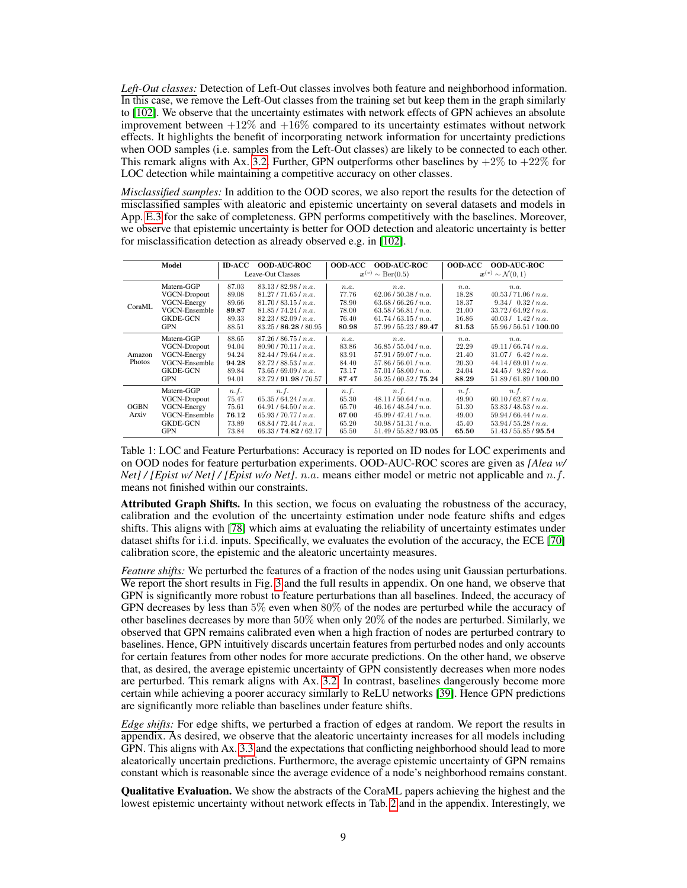*Left-Out classes:* Detection of Left-Out classes involves both feature and neighborhood information. In this case, we remove the Left-Out classes from the training set but keep them in the graph similarly to [\[102\]](#page-15-5). We observe that the uncertainty estimates with network effects of GPN achieves an absolute improvement between  $+12\%$  and  $+16\%$  compared to its uncertainty estimates without network effects. It highlights the benefit of incorporating network information for uncertainty predictions when OOD samples (i.e. samples from the Left-Out classes) are likely to be connected to each other. This remark aligns with Ax. [3.2.](#page-3-2) Further, GPN outperforms other baselines by  $+2\%$  to  $+22\%$  for LOC detection while maintaining a competitive accuracy on other classes.

*Misclassified samples:* In addition to the OOD scores, we also report the results for the detection of misclassified samples with aleatoric and epistemic uncertainty on several datasets and models in App. E.3 for the sake of completeness. GPN performs competitively with the baselines. Moreover, we observe that epistemic uncertainty is better for OOD detection and aleatoric uncertainty is better for misclassification detection as already observed e.g. in [\[102\]](#page-15-5).

<span id="page-8-0"></span>

|                      | Model               | ID-ACC            | <b>OOD-AUC-ROC</b>    | <b>OOD-ACC</b>                              | <b>OOD-AUC-ROC</b>    | <b>OOD-ACC</b>                               | <b>OOD AUC ROC</b>     |
|----------------------|---------------------|-------------------|-----------------------|---------------------------------------------|-----------------------|----------------------------------------------|------------------------|
|                      |                     | Leave-Out Classes |                       | $\boldsymbol{x}^{(v)} \sim \text{Ber}(0.5)$ |                       | $\boldsymbol{x}^{(v)} \sim \mathcal{N}(0,1)$ |                        |
| CoraML               | Matern-GGP          | 87.03             | 83.13/82.98/n.a.      | n.a.                                        | n.a.                  | n.a.                                         | n.a.                   |
|                      | <b>VGCN-Dropout</b> | 89.08             | 81.27/71.65/n.a.      | 77.76                                       | 62.06/50.38/n.a.      | 18.28                                        | 40.53 / 71.06 / n.a.   |
|                      | <b>VGCN-Energy</b>  | 89.66             | 81.70/83.15/n.a.      | 78.90                                       | 63.68/66.26/n.a.      | 18.37                                        | 9.34/0.32/n.a.         |
|                      | VGCN-Ensemble       | 89.87             | 81.85 / 74.24 / n.a.  | 78.00                                       | 63.58/56.81/n.a.      | 21.00                                        | 33.72/64.92/n.a.       |
|                      | <b>GKDE-GCN</b>     | 89.33             | 82.23/82.09/n.a.      | 76.40                                       | 61.74/63.15/n.a.      | 16.86                                        | 40.03 / 1.42 / n.a.    |
|                      | <b>GPN</b>          | 88.51             | 83.25 / 86.28 / 80.95 | 80.98                                       | 57.99 / 55.23 / 89.47 | 81.53                                        | 55.96 / 56.51 / 100.00 |
| Amazon<br>Photos     | Matern-GGP          | 88.65             | 87.26/86.75/n.a.      | n.a.                                        | n.a.                  | n.a.                                         | n.a.                   |
|                      | <b>VGCN-Dropout</b> | 94.04             | 80.90 / 70.11 / n.a.  | 83.86                                       | 56.85/55.04/n.a.      | 22.29                                        | 49.11/66.74/n.a.       |
|                      | VGCN-Energy         | 94.24             | 82.44/79.64/n.a.      | 83.91                                       | 57.91/59.07/n.a.      | 21.40                                        | $31.07/$ 6.42 / n.a.   |
|                      | VGCN-Ensemble       | 94.28             | 82.72/88.53/n.a.      | 84.40                                       | 57.86/56.01/n.a.      | 20.30                                        | 44.14/69.01/n.a.       |
|                      | <b>GKDE-GCN</b>     | 89.84             | 73.65/69.09/n.a.      | 73.17                                       | 57.01/58.00/n.a.      | 24.04                                        | 24.45/9.82/n.a.        |
|                      | <b>GPN</b>          | 94.01             | 82.72 / 91.98 / 76.57 | 87.47                                       | 56.25 / 60.52 / 75.24 | 88.29                                        | 51.89 / 61.89 / 100.00 |
| <b>OGBN</b><br>Arxiv | Matern-GGP          | n.f.              | n.f.                  | n.f.                                        | n.f.                  | n.f.                                         | n.f.                   |
|                      | <b>VGCN-Dropout</b> | 75.47             | 65.35/64.24/n.a.      | 65.30                                       | 48.11/50.64/n.a.      | 49.90                                        | 60.10/62.87/n.a.       |
|                      | VGCN-Energy         | 75.61             | 64.91/64.50/n.a.      | 65.70                                       | 46.16/48.54/n.a.      | 51.30                                        | 53.83/48.53/n.a.       |
|                      | VGCN-Ensemble       | 76.12             | 65.93 / 70.77 / n.a.  | 67.00                                       | 45.99/47.41/n.a.      | 49.00                                        | 59.94/66.44/n.a.       |
|                      | <b>GKDE-GCN</b>     | 73.89             | 68.84/72.44/n.a.      | 65.20                                       | 50.98/51.31/n.a.      | 45.40                                        | 53.94/55.28/n.a.       |
|                      | <b>GPN</b>          | 73.84             | 66.33/74.82/62.17     | 65.50                                       | 51.49 / 55.82 / 93.05 | 65.50                                        | 51.43 / 55.85 / 95.54  |

Table 1: LOC and Feature Perturbations: Accuracy is reported on ID nodes for LOC experiments and on OOD nodes for feature perturbation experiments. OOD-AUC-ROC scores are given as *[Alea w/ Net] / [Epist w/ Net] / [Epist w/o Net]. n.a.* means either model or metric not applicable and n.f. means not finished within our constraints.

Attributed Graph Shifts. In this section, we focus on evaluating the robustness of the accuracy, calibration and the evolution of the uncertainty estimation under node feature shifts and edges shifts. This aligns with [\[78\]](#page-14-0) which aims at evaluating the reliability of uncertainty estimates under dataset shifts for i.i.d. inputs. Specifically, we evaluates the evolution of the accuracy, the ECE [\[70\]](#page-13-18) calibration score, the epistemic and the aleatoric uncertainty measures.

*Feature shifts:* We perturbed the features of a fraction of the nodes using unit Gaussian perturbations. We report the short results in Fig. [3](#page-9-0) and the full results in appendix. On one hand, we observe that GPN is significantly more robust to feature perturbations than all baselines. Indeed, the accuracy of GPN decreases by less than 5% even when 80% of the nodes are perturbed while the accuracy of other baselines decreases by more than 50% when only 20% of the nodes are perturbed. Similarly, we observed that GPN remains calibrated even when a high fraction of nodes are perturbed contrary to baselines. Hence, GPN intuitively discards uncertain features from perturbed nodes and only accounts for certain features from other nodes for more accurate predictions. On the other hand, we observe that, as desired, the average epistemic uncertainty of GPN consistently decreases when more nodes are perturbed. This remark aligns with Ax. [3.2.](#page-3-2) In contrast, baselines dangerously become more certain while achieving a poorer accuracy similarly to ReLU networks [\[39\]](#page-12-13). Hence GPN predictions are significantly more reliable than baselines under feature shifts.

*Edge shifts:* For edge shifts, we perturbed a fraction of edges at random. We report the results in appendix. As desired, we observe that the aleatoric uncertainty increases for all models including GPN. This aligns with Ax. [3.3](#page-3-3) and the expectations that conflicting neighborhood should lead to more aleatorically uncertain predictions. Furthermore, the average epistemic uncertainty of GPN remains constant which is reasonable since the average evidence of a node's neighborhood remains constant.

Qualitative Evaluation. We show the abstracts of the CoraML papers achieving the highest and the lowest epistemic uncertainty without network effects in Tab. [2](#page-9-1) and in the appendix. Interestingly, we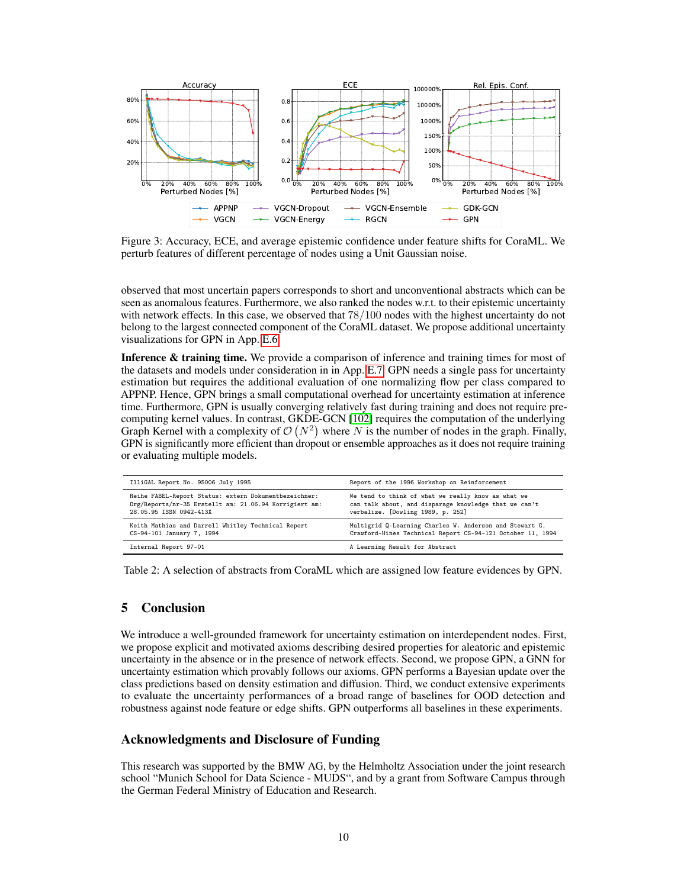<span id="page-9-0"></span>

Figure 3: Accuracy, ECE, and average epistemic confidence under feature shifts for CoraML. We perturb features of different percentage of nodes using a Unit Gaussian noise.

observed that most uncertain papers corresponds to short and unconventional abstracts which can be seen as anomalous features. Furthermore, we also ranked the nodes w.r.t. to their epistemic uncertainty with network effects. In this case, we observed that 78/100 nodes with the highest uncertainty do not belong to the largest connected component of the CoraML dataset. We propose additional uncertainty visualizations for GPN in App. E.6.

Inference & training time. We provide a comparison of inference and training times for most of the datasets and models under consideration in in App. E.7. GPN needs a single pass for uncertainty estimation but requires the additional evaluation of one normalizing flow per class compared to APPNP. Hence, GPN brings a small computational overhead for uncertainty estimation at inference time. Furthermore, GPN is usually converging relatively fast during training and does not require precomputing kernel values. In contrast, GKDE-GCN [\[102\]](#page-15-5) requires the computation of the underlying Graph Kernel with a complexity of  $\mathcal{O}(N^2)$  where N is the number of nodes in the graph. Finally, GPN is significantly more efficient than dropout or ensemble approaches as it does not require training or evaluating multiple models.

<span id="page-9-1"></span>

| IlliGAL Report No. 95006 July 1995                     | Report of the 1996 Workshop on Reinforcement               |
|--------------------------------------------------------|------------------------------------------------------------|
| Reihe FABEL-Report Status: extern Dokumentbezeichner:  | We tend to think of what we really know as what we         |
| Org/Reports/nr-35 Erstellt am: 21.06.94 Korrigiert am: | can talk about, and disparage knowledge that we can't      |
| 28.05.95 ISSN 0942-413X                                | verbalize. [Dowling 1989, p. 252]                          |
| Keith Mathias and Darrell Whitley Technical Report     | Multigrid Q-Learning Charles W. Anderson and Stewart G.    |
| CS-94-101 January 7, 1994                              | Crawford-Hines Technical Report CS-94-121 October 11, 1994 |
| Internal Report 97-01                                  | A Learning Result for Abstract                             |

Table 2: A selection of abstracts from CoraML which are assigned low feature evidences by GPN.

# 5 Conclusion

We introduce a well-grounded framework for uncertainty estimation on interdependent nodes. First, we propose explicit and motivated axioms describing desired properties for aleatoric and epistemic uncertainty in the absence or in the presence of network effects. Second, we propose GPN, a GNN for uncertainty estimation which provably follows our axioms. GPN performs a Bayesian update over the class predictions based on density estimation and diffusion. Third, we conduct extensive experiments to evaluate the uncertainty performances of a broad range of baselines for OOD detection and robustness against node feature or edge shifts. GPN outperforms all baselines in these experiments.

# Acknowledgments and Disclosure of Funding

This research was supported by the BMW AG, by the Helmholtz Association under the joint research school "Munich School for Data Science - MUDS", and by a grant from Software Campus through the German Federal Ministry of Education and Research.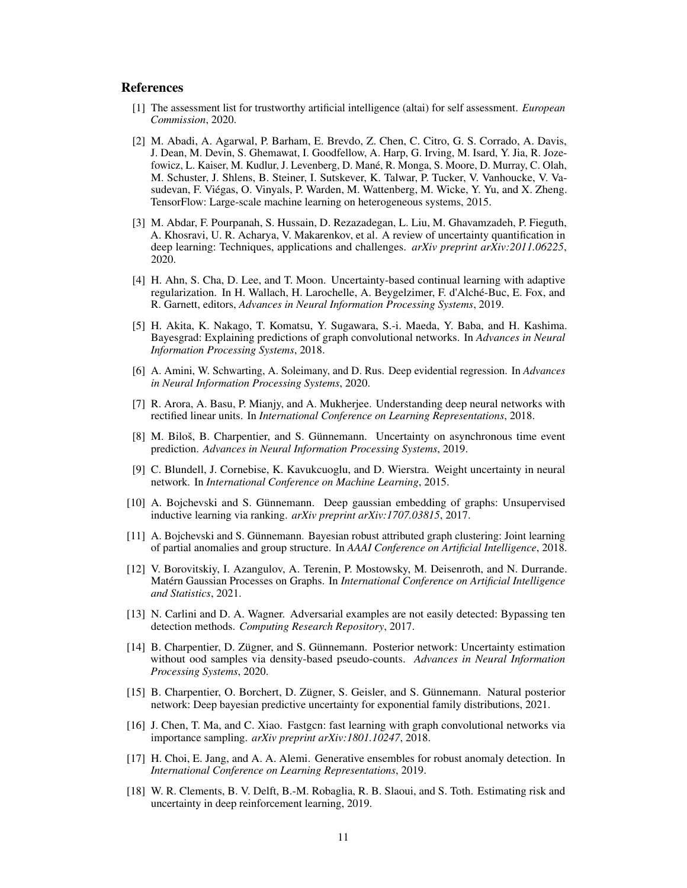### References

- <span id="page-10-15"></span>[1] The assessment list for trustworthy artificial intelligence (altai) for self assessment. *European Commission*, 2020.
- [2] M. Abadi, A. Agarwal, P. Barham, E. Brevdo, Z. Chen, C. Citro, G. S. Corrado, A. Davis, J. Dean, M. Devin, S. Ghemawat, I. Goodfellow, A. Harp, G. Irving, M. Isard, Y. Jia, R. Jozefowicz, L. Kaiser, M. Kudlur, J. Levenberg, D. Mané, R. Monga, S. Moore, D. Murray, C. Olah, M. Schuster, J. Shlens, B. Steiner, I. Sutskever, K. Talwar, P. Tucker, V. Vanhoucke, V. Vasudevan, F. Viégas, O. Vinyals, P. Warden, M. Wattenberg, M. Wicke, Y. Yu, and X. Zheng. TensorFlow: Large-scale machine learning on heterogeneous systems, 2015.
- <span id="page-10-0"></span>[3] M. Abdar, F. Pourpanah, S. Hussain, D. Rezazadegan, L. Liu, M. Ghavamzadeh, P. Fieguth, A. Khosravi, U. R. Acharya, V. Makarenkov, et al. A review of uncertainty quantification in deep learning: Techniques, applications and challenges. *arXiv preprint arXiv:2011.06225*, 2020.
- <span id="page-10-1"></span>[4] H. Ahn, S. Cha, D. Lee, and T. Moon. Uncertainty-based continual learning with adaptive regularization. In H. Wallach, H. Larochelle, A. Beygelzimer, F. d'Alché-Buc, E. Fox, and R. Garnett, editors, *Advances in Neural Information Processing Systems*, 2019.
- <span id="page-10-11"></span>[5] H. Akita, K. Nakago, T. Komatsu, Y. Sugawara, S.-i. Maeda, Y. Baba, and H. Kashima. Bayesgrad: Explaining predictions of graph convolutional networks. In *Advances in Neural Information Processing Systems*, 2018.
- <span id="page-10-7"></span>[6] A. Amini, W. Schwarting, A. Soleimany, and D. Rus. Deep evidential regression. In *Advances in Neural Information Processing Systems*, 2020.
- <span id="page-10-13"></span>[7] R. Arora, A. Basu, P. Mianjy, and A. Mukherjee. Understanding deep neural networks with rectified linear units. In *International Conference on Learning Representations*, 2018.
- <span id="page-10-6"></span>[8] M. Biloš, B. Charpentier, and S. Günnemann. Uncertainty on asynchronous time event prediction. *Advances in Neural Information Processing Systems*, 2019.
- <span id="page-10-5"></span>[9] C. Blundell, J. Cornebise, K. Kavukcuoglu, and D. Wierstra. Weight uncertainty in neural network. In *International Conference on Machine Learning*, 2015.
- [10] A. Bojchevski and S. Günnemann. Deep gaussian embedding of graphs: Unsupervised inductive learning via ranking. *arXiv preprint arXiv:1707.03815*, 2017.
- <span id="page-10-12"></span>[11] A. Bojchevski and S. Günnemann. Bayesian robust attributed graph clustering: Joint learning of partial anomalies and group structure. In *AAAI Conference on Artificial Intelligence*, 2018.
- <span id="page-10-10"></span>[12] V. Borovitskiy, I. Azangulov, A. Terenin, P. Mostowsky, M. Deisenroth, and N. Durrande. Matérn Gaussian Processes on Graphs. In *International Conference on Artificial Intelligence and Statistics*, 2021.
- <span id="page-10-4"></span>[13] N. Carlini and D. A. Wagner. Adversarial examples are not easily detected: Bypassing ten detection methods. *Computing Research Repository*, 2017.
- <span id="page-10-8"></span>[14] B. Charpentier, D. Zügner, and S. Günnemann. Posterior network: Uncertainty estimation without ood samples via density-based pseudo-counts. *Advances in Neural Information Processing Systems*, 2020.
- <span id="page-10-3"></span>[15] B. Charpentier, O. Borchert, D. Zügner, S. Geisler, and S. Günnemann. Natural posterior network: Deep bayesian predictive uncertainty for exponential family distributions, 2021.
- <span id="page-10-9"></span>[16] J. Chen, T. Ma, and C. Xiao. Fastgen: fast learning with graph convolutional networks via importance sampling. *arXiv preprint arXiv:1801.10247*, 2018.
- <span id="page-10-14"></span>[17] H. Choi, E. Jang, and A. A. Alemi. Generative ensembles for robust anomaly detection. In *International Conference on Learning Representations*, 2019.
- <span id="page-10-2"></span>[18] W. R. Clements, B. V. Delft, B.-M. Robaglia, R. B. Slaoui, and S. Toth. Estimating risk and uncertainty in deep reinforcement learning, 2019.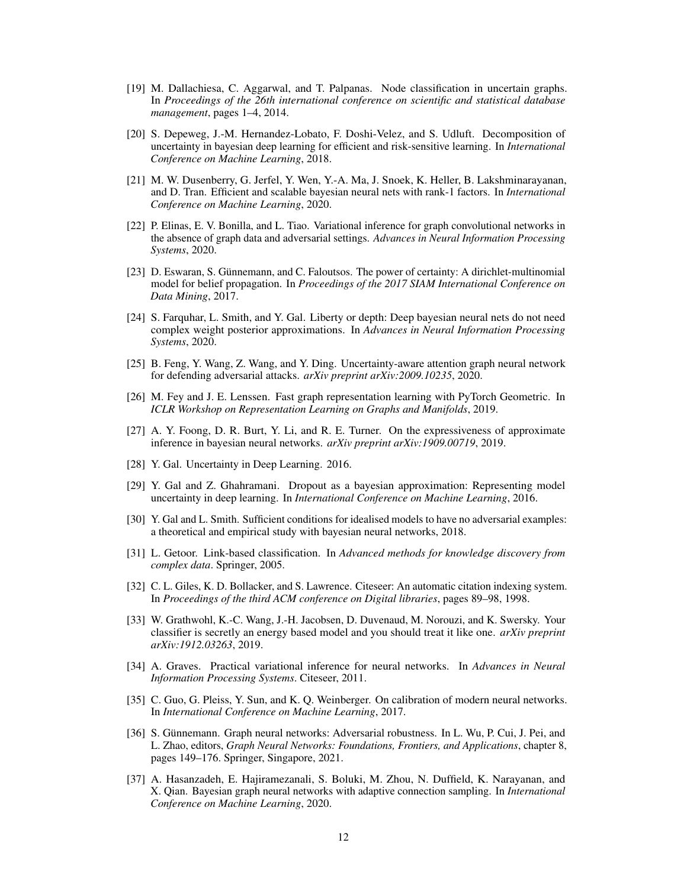- <span id="page-11-11"></span>[19] M. Dallachiesa, C. Aggarwal, and T. Palpanas. Node classification in uncertain graphs. In *Proceedings of the 26th international conference on scientific and statistical database management*, pages 1–4, 2014.
- <span id="page-11-2"></span>[20] S. Depeweg, J.-M. Hernandez-Lobato, F. Doshi-Velez, and S. Udluft. Decomposition of uncertainty in bayesian deep learning for efficient and risk-sensitive learning. In *International Conference on Machine Learning*, 2018.
- <span id="page-11-4"></span>[21] M. W. Dusenberry, G. Jerfel, Y. Wen, Y.-A. Ma, J. Snoek, K. Heller, B. Lakshminarayanan, and D. Tran. Efficient and scalable bayesian neural nets with rank-1 factors. In *International Conference on Machine Learning*, 2020.
- <span id="page-11-12"></span>[22] P. Elinas, E. V. Bonilla, and L. Tiao. Variational inference for graph convolutional networks in the absence of graph data and adversarial settings. *Advances in Neural Information Processing Systems*, 2020.
- <span id="page-11-9"></span>[23] D. Eswaran, S. Günnemann, and C. Faloutsos. The power of certainty: A dirichlet-multinomial model for belief propagation. In *Proceedings of the 2017 SIAM International Conference on Data Mining*, 2017.
- <span id="page-11-3"></span>[24] S. Farquhar, L. Smith, and Y. Gal. Liberty or depth: Deep bayesian neural nets do not need complex weight posterior approximations. In *Advances in Neural Information Processing Systems*, 2020.
- <span id="page-11-14"></span>[25] B. Feng, Y. Wang, Z. Wang, and Y. Ding. Uncertainty-aware attention graph neural network for defending adversarial attacks. *arXiv preprint arXiv:2009.10235*, 2020.
- [26] M. Fey and J. E. Lenssen. Fast graph representation learning with PyTorch Geometric. In *ICLR Workshop on Representation Learning on Graphs and Manifolds*, 2019.
- <span id="page-11-6"></span>[27] A. Y. Foong, D. R. Burt, Y. Li, and R. E. Turner. On the expressiveness of approximate inference in bayesian neural networks. *arXiv preprint arXiv:1909.00719*, 2019.
- <span id="page-11-0"></span>[28] Y. Gal. Uncertainty in Deep Learning. 2016.
- <span id="page-11-15"></span>[29] Y. Gal and Z. Ghahramani. Dropout as a bayesian approximation: Representing model uncertainty in deep learning. In *International Conference on Machine Learning*, 2016.
- <span id="page-11-1"></span>[30] Y. Gal and L. Smith. Sufficient conditions for idealised models to have no adversarial examples: a theoretical and empirical study with bayesian neural networks, 2018.
- <span id="page-11-17"></span>[31] L. Getoor. Link-based classification. In *Advanced methods for knowledge discovery from complex data*. Springer, 2005.
- <span id="page-11-16"></span>[32] C. L. Giles, K. D. Bollacker, and S. Lawrence. Citeseer: An automatic citation indexing system. In *Proceedings of the third ACM conference on Digital libraries*, pages 89–98, 1998.
- <span id="page-11-8"></span>[33] W. Grathwohl, K.-C. Wang, J.-H. Jacobsen, D. Duvenaud, M. Norouzi, and K. Swersky. Your classifier is secretly an energy based model and you should treat it like one. *arXiv preprint arXiv:1912.03263*, 2019.
- <span id="page-11-5"></span>[34] A. Graves. Practical variational inference for neural networks. In *Advances in Neural Information Processing Systems*. Citeseer, 2011.
- <span id="page-11-7"></span>[35] C. Guo, G. Pleiss, Y. Sun, and K. Q. Weinberger. On calibration of modern neural networks. In *International Conference on Machine Learning*, 2017.
- <span id="page-11-13"></span>[36] S. Günnemann. Graph neural networks: Adversarial robustness. In L. Wu, P. Cui, J. Pei, and L. Zhao, editors, *Graph Neural Networks: Foundations, Frontiers, and Applications*, chapter 8, pages 149–176. Springer, Singapore, 2021.
- <span id="page-11-10"></span>[37] A. Hasanzadeh, E. Hajiramezanali, S. Boluki, M. Zhou, N. Duffield, K. Narayanan, and X. Qian. Bayesian graph neural networks with adaptive connection sampling. In *International Conference on Machine Learning*, 2020.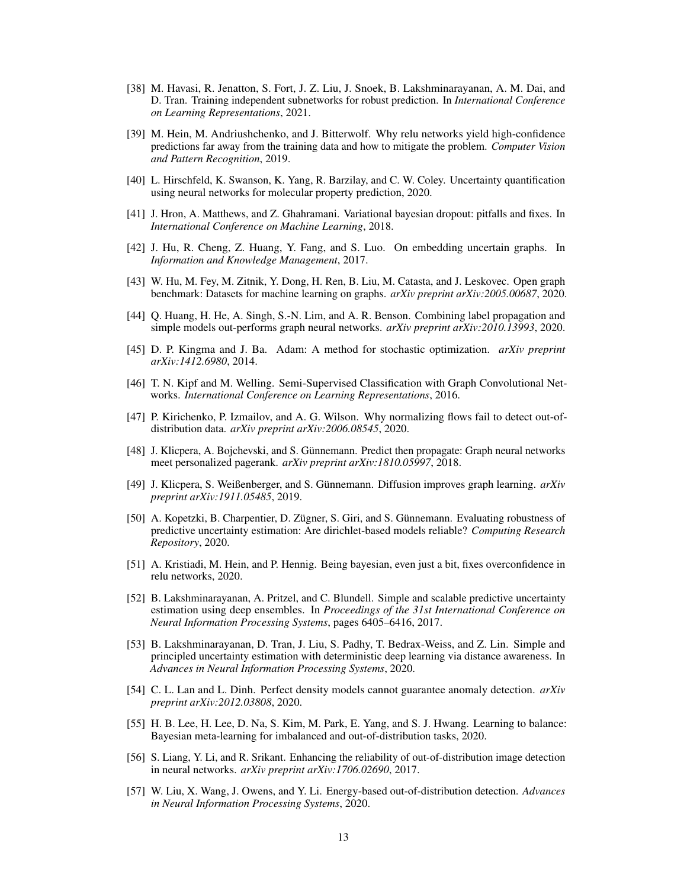- <span id="page-12-6"></span>[38] M. Havasi, R. Jenatton, S. Fort, J. Z. Liu, J. Snoek, B. Lakshminarayanan, A. M. Dai, and D. Tran. Training independent subnetworks for robust prediction. In *International Conference on Learning Representations*, 2021.
- <span id="page-12-13"></span>[39] M. Hein, M. Andriushchenko, and J. Bitterwolf. Why relu networks yield high-confidence predictions far away from the training data and how to mitigate the problem. *Computer Vision and Pattern Recognition*, 2019.
- <span id="page-12-12"></span>[40] L. Hirschfeld, K. Swanson, K. Yang, R. Barzilay, and C. W. Coley. Uncertainty quantification using neural networks for molecular property prediction, 2020.
- <span id="page-12-7"></span>[41] J. Hron, A. Matthews, and Z. Ghahramani. Variational bayesian dropout: pitfalls and fixes. In *International Conference on Machine Learning*, 2018.
- <span id="page-12-11"></span>[42] J. Hu, R. Cheng, Z. Huang, Y. Fang, and S. Luo. On embedding uncertain graphs. In *Information and Knowledge Management*, 2017.
- <span id="page-12-16"></span>[43] W. Hu, M. Fey, M. Zitnik, Y. Dong, H. Ren, B. Liu, M. Catasta, and J. Leskovec. Open graph benchmark: Datasets for machine learning on graphs. *arXiv preprint arXiv:2005.00687*, 2020.
- [44] Q. Huang, H. He, A. Singh, S.-N. Lim, and A. R. Benson. Combining label propagation and simple models out-performs graph neural networks. *arXiv preprint arXiv:2010.13993*, 2020.
- [45] D. P. Kingma and J. Ba. Adam: A method for stochastic optimization. *arXiv preprint arXiv:1412.6980*, 2014.
- <span id="page-12-2"></span>[46] T. N. Kipf and M. Welling. Semi-Supervised Classification with Graph Convolutional Networks. *International Conference on Learning Representations*, 2016.
- <span id="page-12-15"></span>[47] P. Kirichenko, P. Izmailov, and A. G. Wilson. Why normalizing flows fail to detect out-ofdistribution data. *arXiv preprint arXiv:2006.08545*, 2020.
- <span id="page-12-3"></span>[48] J. Klicpera, A. Bojchevski, and S. Günnemann. Predict then propagate: Graph neural networks meet personalized pagerank. *arXiv preprint arXiv:1810.05997*, 2018.
- [49] J. Klicpera, S. Weißenberger, and S. Günnemann. Diffusion improves graph learning. *arXiv preprint arXiv:1911.05485*, 2019.
- <span id="page-12-0"></span>[50] A. Kopetzki, B. Charpentier, D. Zügner, S. Giri, and S. Günnemann. Evaluating robustness of predictive uncertainty estimation: Are dirichlet-based models reliable? *Computing Research Repository*, 2020.
- <span id="page-12-4"></span>[51] A. Kristiadi, M. Hein, and P. Hennig. Being bayesian, even just a bit, fixes overconfidence in relu networks, 2020.
- <span id="page-12-5"></span>[52] B. Lakshminarayanan, A. Pritzel, and C. Blundell. Simple and scalable predictive uncertainty estimation using deep ensembles. In *Proceedings of the 31st International Conference on Neural Information Processing Systems*, pages 6405–6416, 2017.
- <span id="page-12-10"></span>[53] B. Lakshminarayanan, D. Tran, J. Liu, S. Padhy, T. Bedrax-Weiss, and Z. Lin. Simple and principled uncertainty estimation with deterministic deep learning via distance awareness. In *Advances in Neural Information Processing Systems*, 2020.
- <span id="page-12-14"></span>[54] C. L. Lan and L. Dinh. Perfect density models cannot guarantee anomaly detection. *arXiv preprint arXiv:2012.03808*, 2020.
- <span id="page-12-1"></span>[55] H. B. Lee, H. Lee, D. Na, S. Kim, M. Park, E. Yang, and S. J. Hwang. Learning to balance: Bayesian meta-learning for imbalanced and out-of-distribution tasks, 2020.
- <span id="page-12-8"></span>[56] S. Liang, Y. Li, and R. Srikant. Enhancing the reliability of out-of-distribution image detection in neural networks. *arXiv preprint arXiv:1706.02690*, 2017.
- <span id="page-12-9"></span>[57] W. Liu, X. Wang, J. Owens, and Y. Li. Energy-based out-of-distribution detection. *Advances in Neural Information Processing Systems*, 2020.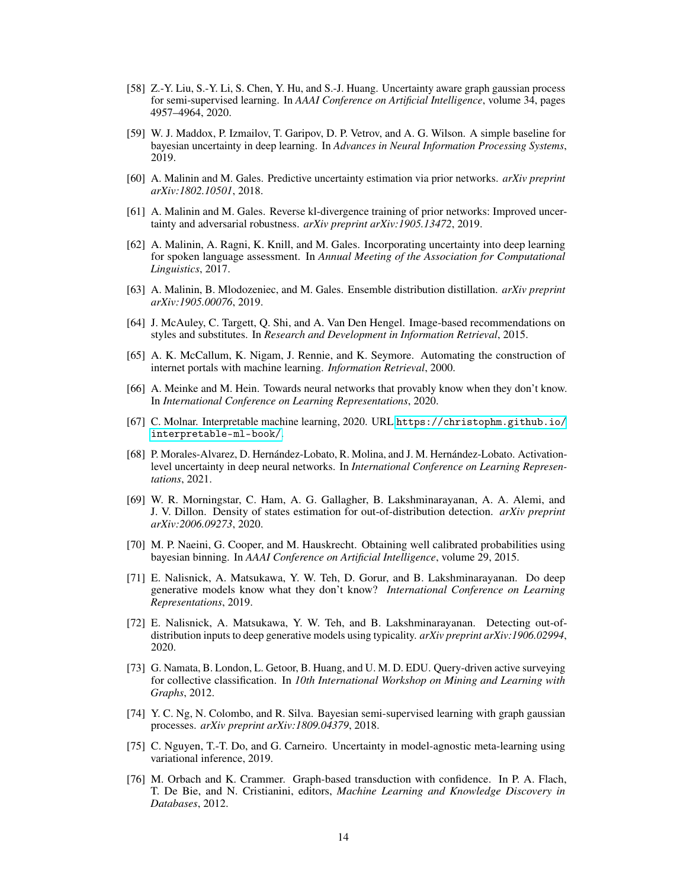- <span id="page-13-10"></span>[58] Z.-Y. Liu, S.-Y. Li, S. Chen, Y. Hu, and S.-J. Huang. Uncertainty aware graph gaussian process for semi-supervised learning. In *AAAI Conference on Artificial Intelligence*, volume 34, pages 4957–4964, 2020.
- <span id="page-13-4"></span>[59] W. J. Maddox, P. Izmailov, T. Garipov, D. P. Vetrov, and A. G. Wilson. A simple baseline for bayesian uncertainty in deep learning. In *Advances in Neural Information Processing Systems*, 2019.
- <span id="page-13-7"></span>[60] A. Malinin and M. Gales. Predictive uncertainty estimation via prior networks. *arXiv preprint arXiv:1802.10501*, 2018.
- <span id="page-13-8"></span>[61] A. Malinin and M. Gales. Reverse kl-divergence training of prior networks: Improved uncertainty and adversarial robustness. *arXiv preprint arXiv:1905.13472*, 2019.
- <span id="page-13-1"></span>[62] A. Malinin, A. Ragni, K. Knill, and M. Gales. Incorporating uncertainty into deep learning for spoken language assessment. In *Annual Meeting of the Association for Computational Linguistics*, 2017.
- <span id="page-13-6"></span>[63] A. Malinin, B. Mlodozeniec, and M. Gales. Ensemble distribution distillation. *arXiv preprint arXiv:1905.00076*, 2019.
- <span id="page-13-17"></span>[64] J. McAuley, C. Targett, Q. Shi, and A. Van Den Hengel. Image-based recommendations on styles and substitutes. In *Research and Development in Information Retrieval*, 2015.
- <span id="page-13-15"></span>[65] A. K. McCallum, K. Nigam, J. Rennie, and K. Seymore. Automating the construction of internet portals with machine learning. *Information Retrieval*, 2000.
- <span id="page-13-3"></span>[66] A. Meinke and M. Hein. Towards neural networks that provably know when they don't know. In *International Conference on Learning Representations*, 2020.
- <span id="page-13-0"></span>[67] C. Molnar. Interpretable machine learning, 2020. URL [https://christophm.github.io/](https://christophm.github.io/interpretable-ml-book/) [interpretable-ml-book/](https://christophm.github.io/interpretable-ml-book/).
- <span id="page-13-5"></span>[68] P. Morales-Alvarez, D. Hernández-Lobato, R. Molina, and J. M. Hernández-Lobato. Activationlevel uncertainty in deep neural networks. In *International Conference on Learning Representations*, 2021.
- <span id="page-13-14"></span>[69] W. R. Morningstar, C. Ham, A. G. Gallagher, B. Lakshminarayanan, A. A. Alemi, and J. V. Dillon. Density of states estimation for out-of-distribution detection. *arXiv preprint arXiv:2006.09273*, 2020.
- <span id="page-13-18"></span>[70] M. P. Naeini, G. Cooper, and M. Hauskrecht. Obtaining well calibrated probabilities using bayesian binning. In *AAAI Conference on Artificial Intelligence*, volume 29, 2015.
- <span id="page-13-13"></span>[71] E. Nalisnick, A. Matsukawa, Y. W. Teh, D. Gorur, and B. Lakshminarayanan. Do deep generative models know what they don't know? *International Conference on Learning Representations*, 2019.
- <span id="page-13-12"></span>[72] E. Nalisnick, A. Matsukawa, Y. W. Teh, and B. Lakshminarayanan. Detecting out-ofdistribution inputs to deep generative models using typicality. *arXiv preprint arXiv:1906.02994*, 2020.
- <span id="page-13-16"></span>[73] G. Namata, B. London, L. Getoor, B. Huang, and U. M. D. EDU. Query-driven active surveying for collective classification. In *10th International Workshop on Mining and Learning with Graphs*, 2012.
- <span id="page-13-9"></span>[74] Y. C. Ng, N. Colombo, and R. Silva. Bayesian semi-supervised learning with graph gaussian processes. *arXiv preprint arXiv:1809.04379*, 2018.
- <span id="page-13-2"></span>[75] C. Nguyen, T.-T. Do, and G. Carneiro. Uncertainty in model-agnostic meta-learning using variational inference, 2019.
- <span id="page-13-11"></span>[76] M. Orbach and K. Crammer. Graph-based transduction with confidence. In P. A. Flach, T. De Bie, and N. Cristianini, editors, *Machine Learning and Knowledge Discovery in Databases*, 2012.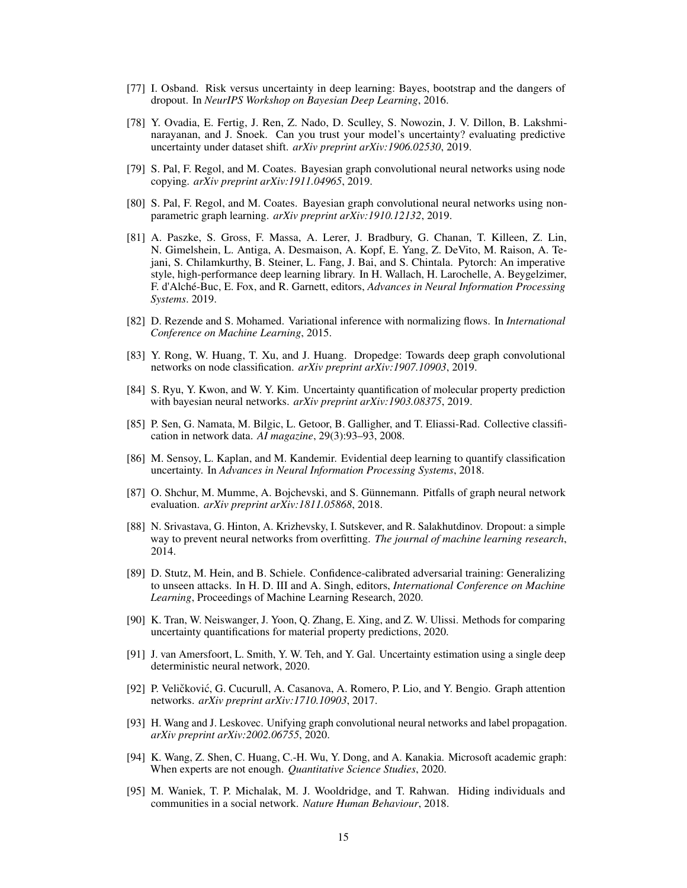- <span id="page-14-4"></span>[77] I. Osband. Risk versus uncertainty in deep learning: Bayes, bootstrap and the dangers of dropout. In *NeurIPS Workshop on Bayesian Deep Learning*, 2016.
- <span id="page-14-0"></span>[78] Y. Ovadia, E. Fertig, J. Ren, Z. Nado, D. Sculley, S. Nowozin, J. V. Dillon, B. Lakshminarayanan, and J. Snoek. Can you trust your model's uncertainty? evaluating predictive uncertainty under dataset shift. *arXiv preprint arXiv:1906.02530*, 2019.
- <span id="page-14-8"></span>[79] S. Pal, F. Regol, and M. Coates. Bayesian graph convolutional neural networks using node copying. *arXiv preprint arXiv:1911.04965*, 2019.
- <span id="page-14-9"></span>[80] S. Pal, F. Regol, and M. Coates. Bayesian graph convolutional neural networks using nonparametric graph learning. *arXiv preprint arXiv:1910.12132*, 2019.
- [81] A. Paszke, S. Gross, F. Massa, A. Lerer, J. Bradbury, G. Chanan, T. Killeen, Z. Lin, N. Gimelshein, L. Antiga, A. Desmaison, A. Kopf, E. Yang, Z. DeVito, M. Raison, A. Tejani, S. Chilamkurthy, B. Steiner, L. Fang, J. Bai, and S. Chintala. Pytorch: An imperative style, high-performance deep learning library. In H. Wallach, H. Larochelle, A. Beygelzimer, F. d'Alché-Buc, E. Fox, and R. Garnett, editors, *Advances in Neural Information Processing Systems*. 2019.
- <span id="page-14-12"></span>[82] D. Rezende and S. Mohamed. Variational inference with normalizing flows. In *International Conference on Machine Learning*, 2015.
- <span id="page-14-7"></span>[83] Y. Rong, W. Huang, T. Xu, and J. Huang. Dropedge: Towards deep graph convolutional networks on node classification. *arXiv preprint arXiv:1907.10903*, 2019.
- <span id="page-14-10"></span>[84] S. Ryu, Y. Kwon, and W. Y. Kim. Uncertainty quantification of molecular property prediction with bayesian neural networks. *arXiv preprint arXiv:1903.08375*, 2019.
- <span id="page-14-14"></span>[85] P. Sen, G. Namata, M. Bilgic, L. Getoor, B. Galligher, and T. Eliassi-Rad. Collective classification in network data. *AI magazine*, 29(3):93–93, 2008.
- <span id="page-14-6"></span>[86] M. Sensoy, L. Kaplan, and M. Kandemir. Evidential deep learning to quantify classification uncertainty. In *Advances in Neural Information Processing Systems*, 2018.
- <span id="page-14-13"></span>[87] O. Shchur, M. Mumme, A. Bojchevski, and S. Günnemann. Pitfalls of graph neural network evaluation. *arXiv preprint arXiv:1811.05868*, 2018.
- <span id="page-14-3"></span>[88] N. Srivastava, G. Hinton, A. Krizhevsky, I. Sutskever, and R. Salakhutdinov. Dropout: a simple way to prevent neural networks from overfitting. *The journal of machine learning research*, 2014.
- <span id="page-14-2"></span>[89] D. Stutz, M. Hein, and B. Schiele. Confidence-calibrated adversarial training: Generalizing to unseen attacks. In H. D. III and A. Singh, editors, *International Conference on Machine Learning*, Proceedings of Machine Learning Research, 2020.
- <span id="page-14-11"></span>[90] K. Tran, W. Neiswanger, J. Yoon, Q. Zhang, E. Xing, and Z. W. Ulissi. Methods for comparing uncertainty quantifications for material property predictions, 2020.
- <span id="page-14-5"></span>[91] J. van Amersfoort, L. Smith, Y. W. Teh, and Y. Gal. Uncertainty estimation using a single deep deterministic neural network, 2020.
- <span id="page-14-1"></span>[92] P. Veličković, G. Cucurull, A. Casanova, A. Romero, P. Lio, and Y. Bengio. Graph attention networks. *arXiv preprint arXiv:1710.10903*, 2017.
- [93] H. Wang and J. Leskovec. Unifying graph convolutional neural networks and label propagation. *arXiv preprint arXiv:2002.06755*, 2020.
- <span id="page-14-15"></span>[94] K. Wang, Z. Shen, C. Huang, C.-H. Wu, Y. Dong, and A. Kanakia. Microsoft academic graph: When experts are not enough. *Quantitative Science Studies*, 2020.
- [95] M. Waniek, T. P. Michalak, M. J. Wooldridge, and T. Rahwan. Hiding individuals and communities in a social network. *Nature Human Behaviour*, 2018.